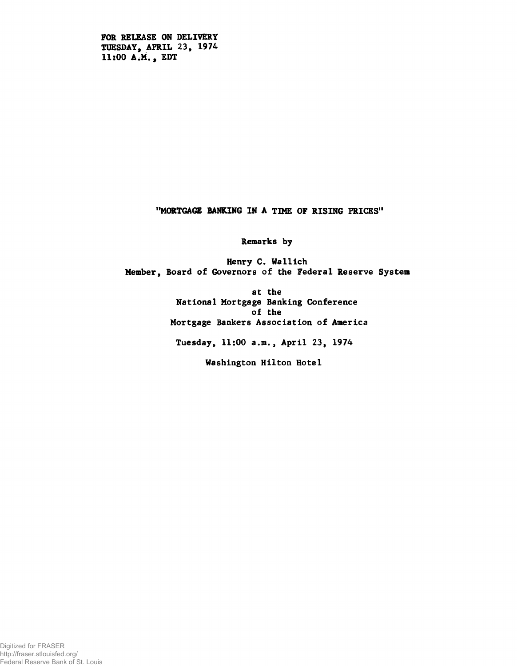**FOR RELEASE ON DELIVERY TUESDAY, APRIL 23, 1974 11:00 A.M., EDT**

**"MORTGAGE RANKING IN A TIME OF RISING PRICES"**

**Remarks by**

**Henry C. Wallich Member, Board of Governors of the Federal Reserve System**

> **at the National Mortgage Banking Conference of the Mortgage Bankers Association of America**

**Tuesday, 11:00 a.m., April 23, 1974**

**Washington Hilton Hotel**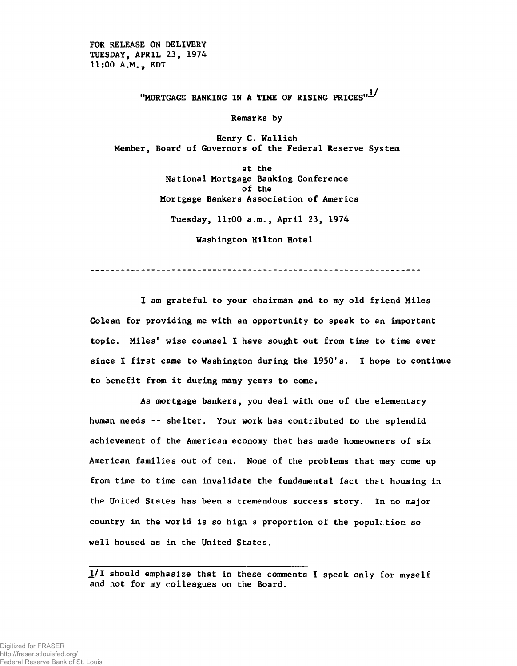**FOR RELEASE ON DELIVERY TUESDAY, APRIL 23, 1974 11:00 A.M., EDT**

"MORTGAGE BANKING IN A TIME OF RISING PRICES"<sup>1</sub>/</sup>

**Remarks by**

**Henry C. Wallich Member, Board of Governors of the Federal Reserve System**

> **at the National Mortgage Banking Conference of the Mortgage Bankers Association of America Tuesday, 11:00 a.m., April 23, 1974**

> > **Washington Hilton Hotel**

**I am grateful to your chairman and to my old friend Miles Colean for providing me with an opportunity to speak to an important topic. Miles' wise counsel I have sought out from time to time ever since I first came to Washington during the 1950's. I hope to continue to benefit from it during many years to come.**

**As mortgage bankers, you deal with one of the elementary human needs -- shelter. Your work has contributed to the splendid achievement of the American economy that has made homeowners of six American families out of ten. None of the problems that may come up from time to time can invalidate the fundamental fact that housing in the United States has been a tremendous success story. In no major country in the world is so high a proportion of the population so well housed as in the United States.**

1/I should emphasize that in these comments I speak only for myself and not for my colleagues on the Board.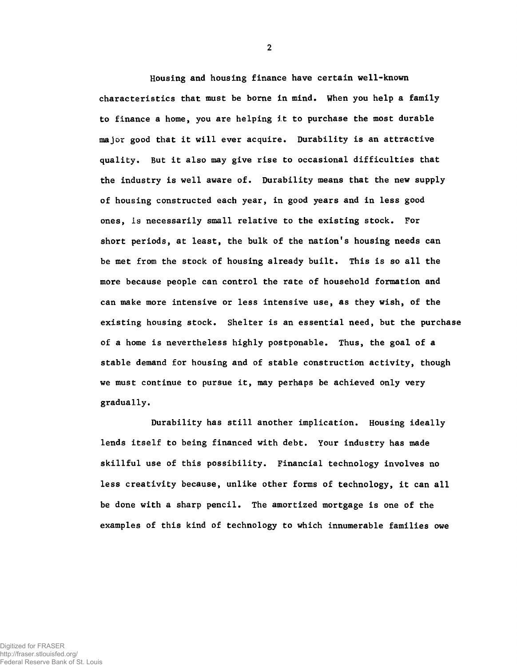Housing and housing finance have certain well-known characteristics that must be borne in mind. When you help a family to finance a home, you are helping it to purchase the most durable major good that it will ever acquire. Durability is an attractive quality. But it also may give rise to occasional difficulties that the industry is well aware of. Durability means that the new supply of housing constructed each year, in good years and in less good ones, is necessarily small relative to the existing stock. For short periods, at least, the bulk of the nation's housing needs can be met from the stock of housing already built. This is so all the more because people can control the rate of household formation and can make more intensive or less intensive use, as they wish, of the existing housing stock. Shelter is an essential need, but the purchase of a home is nevertheless highly postponable. Thus, the goal of a stable demand for housing and of stable construction activity, though we must continue to pursue it, may perhaps be achieved only very gradually.

Durability has still another implication. Housing ideally lends itself to being financed with debt. Your industry has made skillful use of this possibility. Financial technology involves no less creativity because, unlike other forms of technology, it can all be done with a sharp pencil. The amortized mortgage is one of the examples of this kind of technology to which innumerable families owe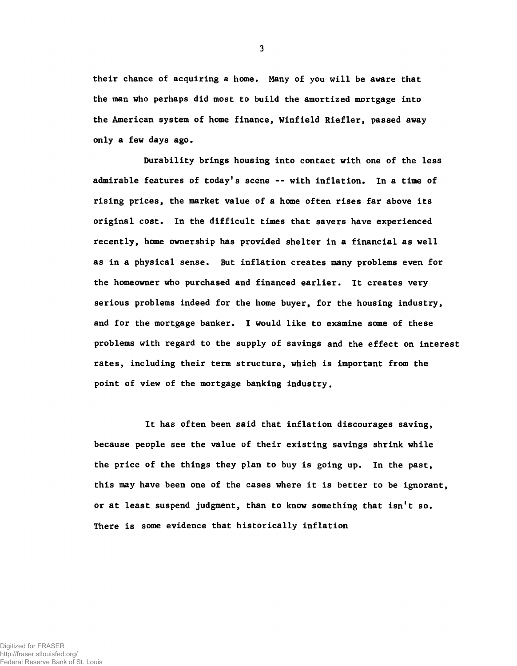their chance of acquiring a home. Many of you will be aware that the man who perhaps did most to build the amortized mortgage into the American system of home finance, Winfield Riefler, passed away only a few days ago.

Durability brings housing into contact with one of the less admirable features of today's scene — with inflation. In a time of rising prices, the market value of a home often rises far above its original cost. In the difficult times that savers have experienced recently, home ownership has provided shelter in a financial as well as in a physical sense. But inflation creates many problems even for the homeowner who purchased and financed earlier. It creates very serious problems indeed for the home buyer, for the housing industry, and for the mortgage banker. I would like to examine some of these problems with regard to the supply of savings and the effect on interest rates, including their term structure, which is important from the point of view of the mortgage banking industry.

It has often been said that inflation discourages saving, because people see the value of their existing savings shrink while the price of the things they plan to buy is going up. In the past, this may have been one of the cases where it is better to be ignorant, or at least suspend judgment, than to know something that isn't so. There is some evidence that historically inflation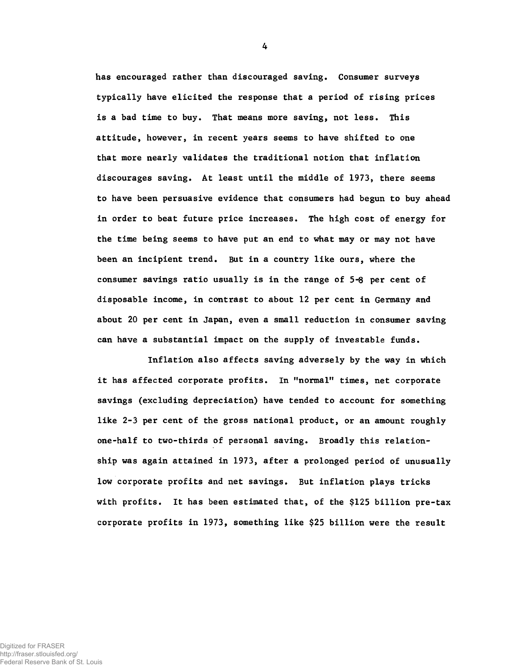has encouraged rather than discouraged saving. Consumer surveys typically have elicited the response that a period of rising prices is a bad time to buy. That means more saving, not less. This attitude, however, in recent years seems to have shifted to one that more nearly validates the traditional notion that inflation discourages saving. At least until the middle of **1973,** there seems to have been persuasive evidence that consumers had begun to buy ahead in order to beat future price increases. The high cost of energy for the time being seems to have put an end to what may or may not have been an incipient trend. But in a country like ours, where the consumer savings ratio usually is in the range of 5-6 per cent of disposable income, in contrast to about **12** per cent in Germany and about **20** per cent in Japan, even a small reduction in consumer saving can have a substantial impact on the supply of investable funds.

Inflation also affects saving adversely by the way in which it has affected corporate profits. In "normal" times, net corporate savings (excluding depreciation) have tended to account for something like **2-3** per cent of the gross national product, or an amount roughly one-half to two-thirds of personal saving. Broadly this relationship was again attained in **1973,** after a prolonged period of unusually low corporate profits and net savings. But inflation plays tricks with profits. It has been estimated that, of the **\$125** billion pre-tax corporate profits in **1973,** something like **\$25** billion were the result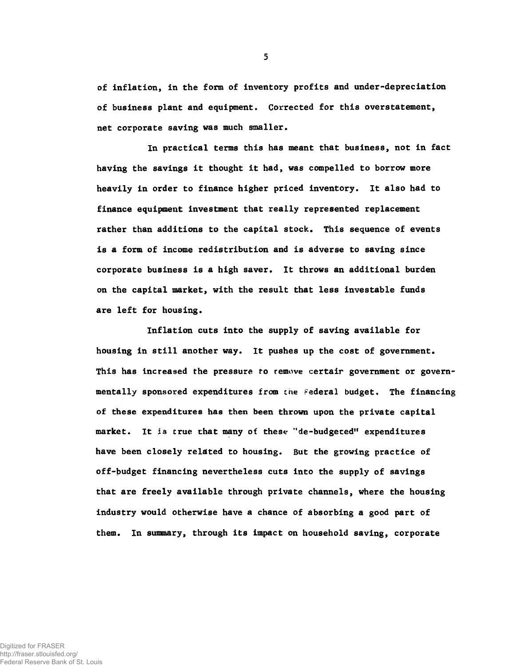of inflation, in the form of inventory profits and under-depreciation of business plant and equipment. Corrected for this overstatement, net corporate saving was much smaller.

In practical terms this has meant that business, not in fact having the savings it thought it had, was compelled to borrow more heavily in order to finance higher priced inventory. It also had to finance equipment investment that really represented replacement rather than additions to the capital stock. This sequence of events is a form of income redistribution and is adverse to saving since corporate business is a high saver. It throws an additional burden on the capital market, with the result that less investable funds are left for housing.

Inflation cuts into the supply of saving available for housing in still another way. It pushes up the cost of government. This has increased the pressure to remove certair government or governmentally sponsored expenditures from the federal budget. The financing of these expenditures has then been thrown upon the private capital market. It is crue that many of these "de-budgeted" expenditures have been closely related to housing. But the growing practice of off-budget financing nevertheless cuts into the supply of savings that are freely available through private channels, where the housing industry would otherwise have a chance of absorbing a good part of them. In summary, through its impact on household saving, corporate

Digitized for FRASER http://fraser.stlouisfed.org/

Federal Reserve Bank of St. Louis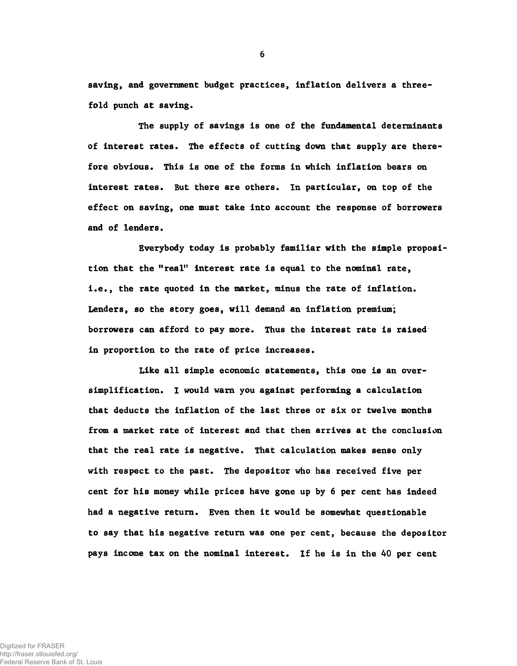saving, and government budget practices, inflation delivers a threefold punch at saving.

**The supply of savings is one of the fundamental determinants of interest rates. The effects of cutting down that supply are therefore obvious. This is one of the forms in which inflation bears on interest rates. But there are others. In particular, on top of the effect on saving, one must take into account the response of borrowers and of lenders.**

**Everybody today is probably familiar with the simple proposition that the "real" interest rate is equal to the nominal rate, i.e., the rate quoted in the market, minus the rate of inflation. Lenders, so the story goes, will demand an inflation premium; borrowers can afford to pay more. Thus the interest rate is raised in proportion to the rate of price increases.**

Like all simple economic statements, this one is an oversimplification. I would warn you against performing a calculation that deducts the inflation of the last three or six or twelve months from a market rate of interest and that then arrives at the conclusion that the real rate is negative. That calculation makes sense only with respect to the past. The depositor who has received five per cent for his money while prices have gone up by 6 per cent has indeed had a negative return. Even then it would be somewhat questionable to say that his negative return was one per cent, because the depositor pays income tax on the nominal interest. If he is in the 40 per cent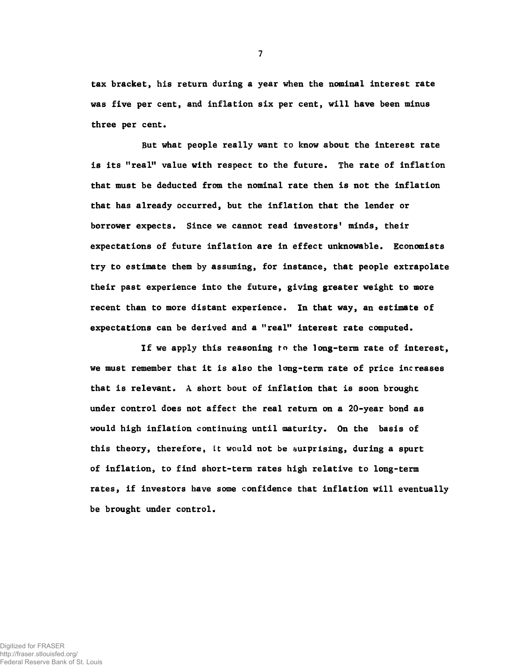tax bracket, his return during a year when the nominal interest rate was five per cent, and inflation six per cent, will have been minus three per cent.

But what people really want to know about the interest rate is its "real" value with respect to the future. The rate of inflation that must be deducted from the nominal rate then is not the inflation that has already occurred, but the inflation that the lender or borrower expects. Since we cannot read investors' minds, their expectations of future inflation are in effect unknowable. Economists try to estimate them by assuming, for instance, that people extrapolate their past experience into the future, giving greater weight to more recent than to more distant experience. In that way, an estimate of expectations can be derived and a "real" interest rate computed.

If we apply this reasoning fn the long-term rate of interest, we must remember that it is also the long-term rate of price increases that is relevant. A short bout of inflation that is soon brought under control does not affect the real return on a 20-year bond as would high inflation continuing until maturity. On the basis of this theory, therefore, it would not be surprising, during a spurt of inflation, to find short-term rates high relative to long-term rates, if investors have some confidence that inflation will eventually be brought under control.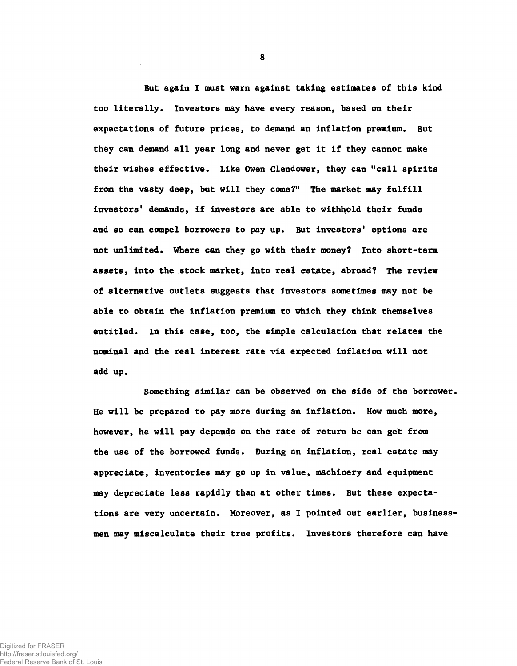But again I must warn against taking estimates of this kind too literally. Investors may have every reason, based on their expectations of future prices, to demand an inflation premium. But they can demand all year long and never get it if they cannot make their wishes effective. Like Owen Glendower, they can "call spirits from the vasty deep, but will they come?" The market may fulfill investors' demands, if investors are able to withhold their funds and so can compel borrowers to pay up. But investors' options are not unlimited. Where can they go with their money? Into short-term assets, into the stock market, into real estate, abroad? The review of alternative outlets suggests that investors sometimes may not be able to obtain the inflation premium to which they think themselves entitled. In this case, too, the simple calculation that relates the nominal and the real interest rate via expected inflation will not add up.

Something similar can be observed on the side of the borrower. He will be prepared to pay more during an inflation. How much more, however, he will pay depends on the rate of return he can get from the use of the borrowed funds. During an inflation, real estate may appreciate, inventories may go up in value, machinery and equipment may depreciate less rapidly than at other times. But these expectations are very uncertain. Moreover, as I pointed out earlier, businessmen may miscalculate their true profits. Investors therefore can have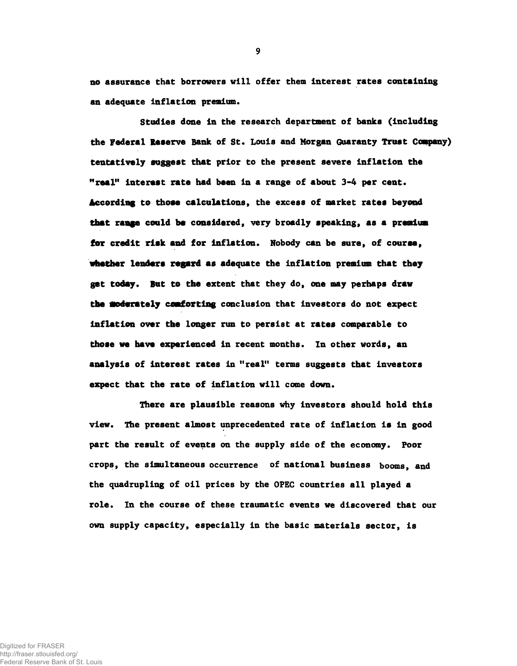**no assurance that borrowers will offer them interest rates containing an adequate inflation premium.**

**Studies done in the research department of banks (including the Federal Reserve Bank of St. Louis and Morgan Guaranty Trust Company) tentatively suggest that prior to the present severe inflation the "real" interest rate had been in a range of about 3-4 per cent\* According to those calculations, the excess of market rates beyond that range could be considered, very broadly speaking, as a premium for credit risk and for inflation. Nobody can be sure, of course, whether lenders regard as adequate the inflation premium that they get today. But to the extent that they do, one may perhaps draw the moderately comforting conclusion that investors do not expect inflation over the longer run to persist at rates comparable to those we have experienced in recent months. In other words, an analysis of interest rates in "real" terms suggests that investors expect that the rate of inflation will come down.**

**There are plausible reasons why investors should hold this view. The present almost unprecedented rate of inflation is in good part the result of events on the supply side of the economy. Poor crops, the simultaneous occurrence of national business booms, and the quadrupling of oil prices by the OPEC countries all played a role. In the course of these traumatic events we discovered that our own supply capacity, especially in the basic materials sector, is**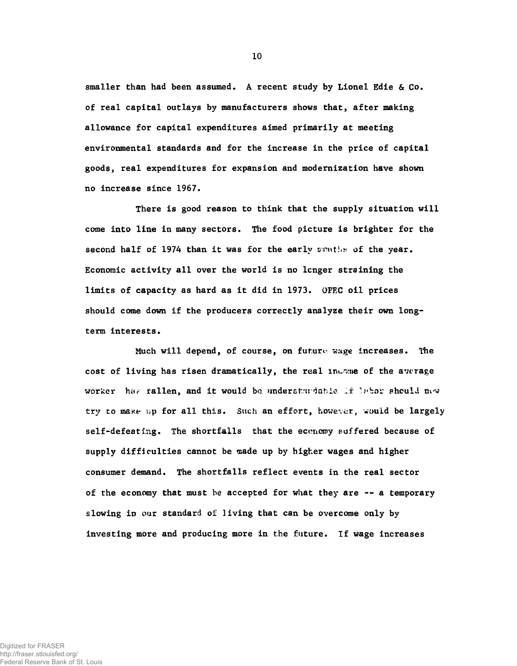smaller than had been assumed. A recent study by Lionel Edie & Co. of real capital outlays by manufacturers shows that, after making allowance for capital expenditures aimed primarily at meeting environmental standards and for the increase in the price of capital goods, real expenditures for expansion and modernization have shown no increase since 1967.

There is good reason to think that the supply situation will come into line in many sectors. The food picture is brighter for the second half of 1974 than it was for the early senths of the year. Economic activity all over the world is no longer straining the limits of capacity as hard as it did in 1973. OPEC oil prices should come down if the producers correctly analyze their own longterm interests.

Much will depend, of course, on future wage increases. The cost of living has risen dramatically, the real inesme of the average worker has fallen, and it would be understandable if labor should now try to make up for all this. Such an effort, however, would be largely self-defeating. The shortfalls that the economy suffered because of supply difficulties cannot be made up by higher wages and higher consumer demand. The shortfalls reflect events in the real sector of the economy that must be accepted for what they are — a temporary slowing in our standard of living that can be overcome only by investing more and producing more in the future. If wage increases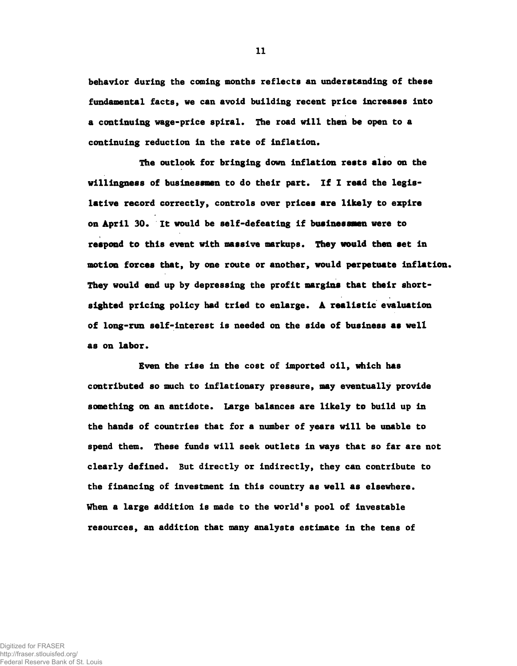**behavior during the coming months reflects an understanding of these fundamental facts, we can avoid building recent price increases into a continuing wage-price spiral. The road will then be open to a continuing reduction in the rate of inflation.**

**The outlook for bringing down inflation rests also on the willingness of businessmen to do their part. If I read the legislative record correctly, controls over prices are likely to expire on April 30. It would be self-defeating if businessmen were to respond to this event with massive markups. They would then set in motion forces that, by one route or another, would perpetuate inflation. They would end up by depressing the profit margins that their shortsighted pricing policy had tried to enlarge. A realistic evaluation of long-run self-interest is needed on the side of business as well as on labor.**

**Even the rise in the cost of imported oil, which has contributed so much to inflationary pressure, may eventually provide something on an antidote. Large balances are likely to build up in the hands of countries that for a number of years will be unable to spend them. These funds will seek outlets in ways that so far are not clearly defined. But directly or indirectly, they can contribute to the financing of investment in this country as well as elsewhere. When a large addition is made to the world's pool of investable resources, an addition that many analysts estimate in the tens of**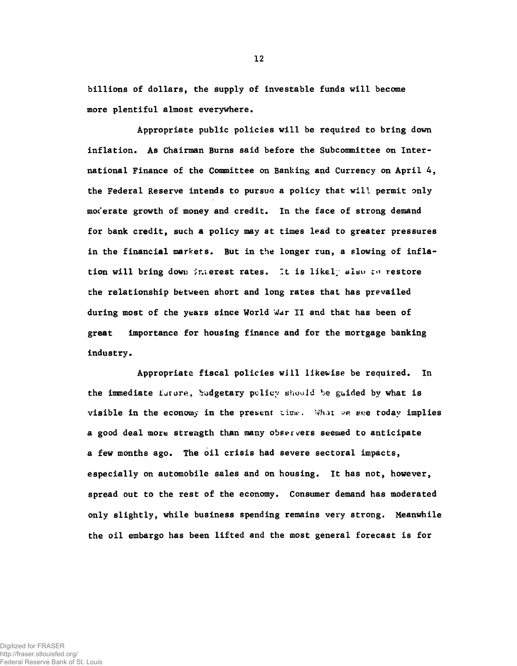billions of dollars, the supply of investable funds will become more plentiful almost everywhere.

Appropriate public policies will be required to bring down inflation. As Chairman Burns said before the Subcommittee on International Finance of the Committee on Banking and Currency on April 4, the Federal Reserve intends to pursue a policy that will permit only moderate growth of money and credit. In the face of strong demand for bank credit, such a policy may at times lead to greater pressures in the financial markets. But in the longer run, a slowing of inflation will bring down interest rates. It is likely also to restore the relationship between short and long rates that has prevailed during most of the years since World War II and that has been of great importance for housing finance and for the mortgage banking industry.

Appropriate fiscal policies will likewise be required. In the immediate Lurur\*, **budgetary** policy should be guided by what is visible in the economy in the present time. What we see today implies a good deal more strength than many observers seemed to anticipate a few months ago. The oil crisis had severe sectoral impacts, especially on automobile sales and on housing. It has not, however, spread out to the rest of the economy. Consumer demand has moderated only slightly, while business spending remains very strong. Meanwhile the oil embargo has been lifted and the most general forecast is for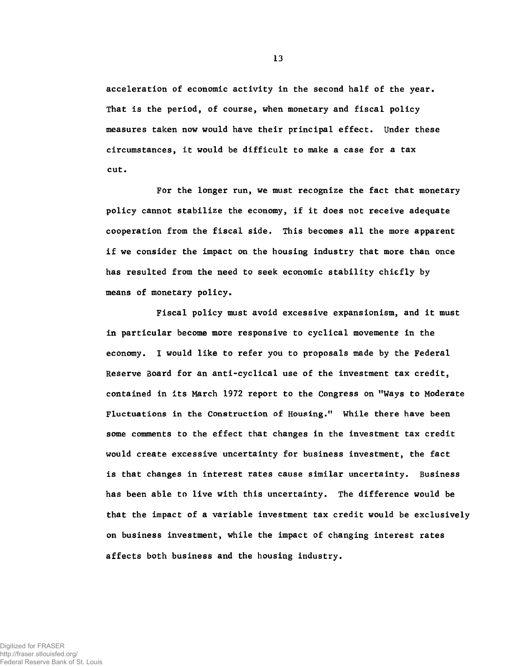acceleration of economic activity in the second half of the year. That is the period, of course, when monetary and fiscal policy measures taken now would have their principal effect. Under these circumstances, it would be difficult to make a case for a tax cut.

For the longer run, we must recognize the fact that monetary policy cannot stabilize the economy, if it does not receive adequate cooperation from the fiscal side. This becomes all the more apparent if we consider the impact on the housing industry that more than once has resulted from the need to seek economic stability chiefly by means of monetary policy.

Fiscal policy must avoid excessive expansionism, and it must in particular become more responsive to cyclical movements in the economy. I would like to refer you to proposals made by the Federal Reserve Board for an anti-cyclical use of the investment tax credit, contained in its March 1972 report to the Congress on "Ways to Moderate Fluctuations in the Construction of Housing." While there have been some comments to the effect that changes in the investment tax credit would create excessive uncertainty for business investment, the fact is that changes in interest rates cause similar uncertainty. Business has been able to live with this uncertainty. The difference would be that the impact of a variable investment tax credit would be exclusively on business investment, while the impact of changing interest rates affects both business and the housing industry.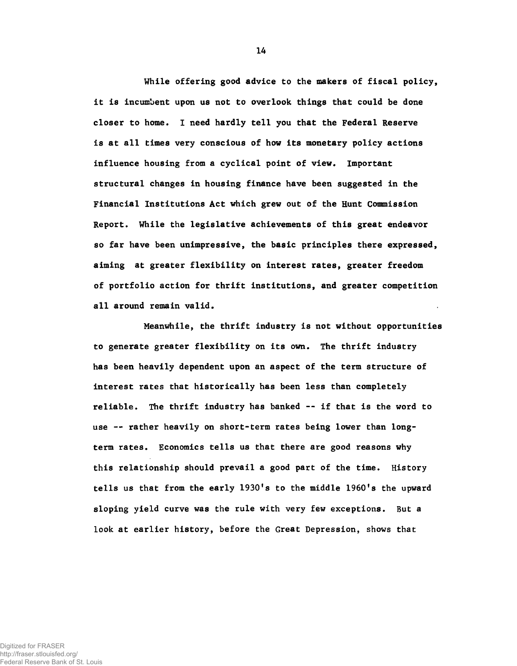While offering good advice to the makers of fiscal policy, it is incumbent upon us not to overlook things that could be done closer to home. 1 need hardly tell you that the Federal Reserve is at all times very conscious of how its monetary policy actions influence housing from a cyclical point of view. Important structural changes in housing finance have been suggested in the Financial Institutions Act which grew out of the Hunt Commission Report. While the legislative achievements of this great endeavor so far have been unimpressive, the basic principles there expressed, aiming at greater flexibility on interest rates, greater freedom of portfolio action for thrift institutions, and greater competition all around remain valid.

Meanwhile, the thrift industry is not without opportunities to generate greater flexibility on its own. The thrift industry has been heavily dependent upon an aspect of the term structure of interest rates that historically has been less than completely reliable. The thrift industry has banked — if that is the word to use -- rather heavily on short-term rates being lower than longterm rates. Economics tells us that there are good reasons why this relationship should prevail a good part of the time. History tells us that from the early **1930's** to the middle **1960's** the upward sloping yield curve was the rule with very few exceptions. But a look at earlier history, before the Great Depression, shows that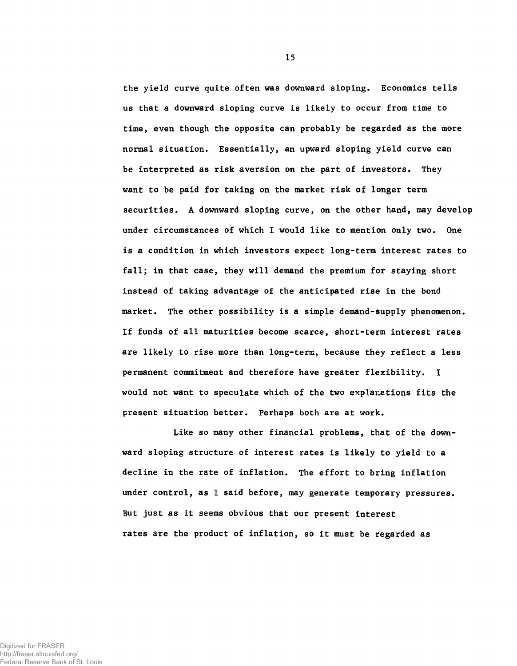the yield curve quite often was downward sloping. Economics tells us that a downward sloping curve is likely to occur from time to time, even though the opposite can probably be regarded as the more normal situation. Essentially, an upward sloping yield curve can be interpreted as risk aversion on the part of investors. They want to be paid for taking on the market risk of longer term securities. A downward sloping curve, on the other hand, may develop under circumstances of which I would like to mention only two. One is a condition in which investors expect long-term interest rates to fall; in that case, they will demand the premium for staying short instead of taking advantage of the anticipated rise in the bond market. The other possibility is a simple demand-supply phenomenon. If funds of all maturities become scarce, short-term interest rates are likely to rise more than long-term, because they reflect a less permanent commitment and therefore have greater flexibility. I would not want to speculate which of the two explanations fits the present situation better. Perhaps both are at work.

Like so many other financial problems, that of the downward sloping structure of interest rates is likely to yield to a decline in the rate of inflation. The effort to bring inflation under control, as I said before, may generate temporary pressures. But just as it seems obvious that our present interest rates are the product of inflation, so it must be regarded as